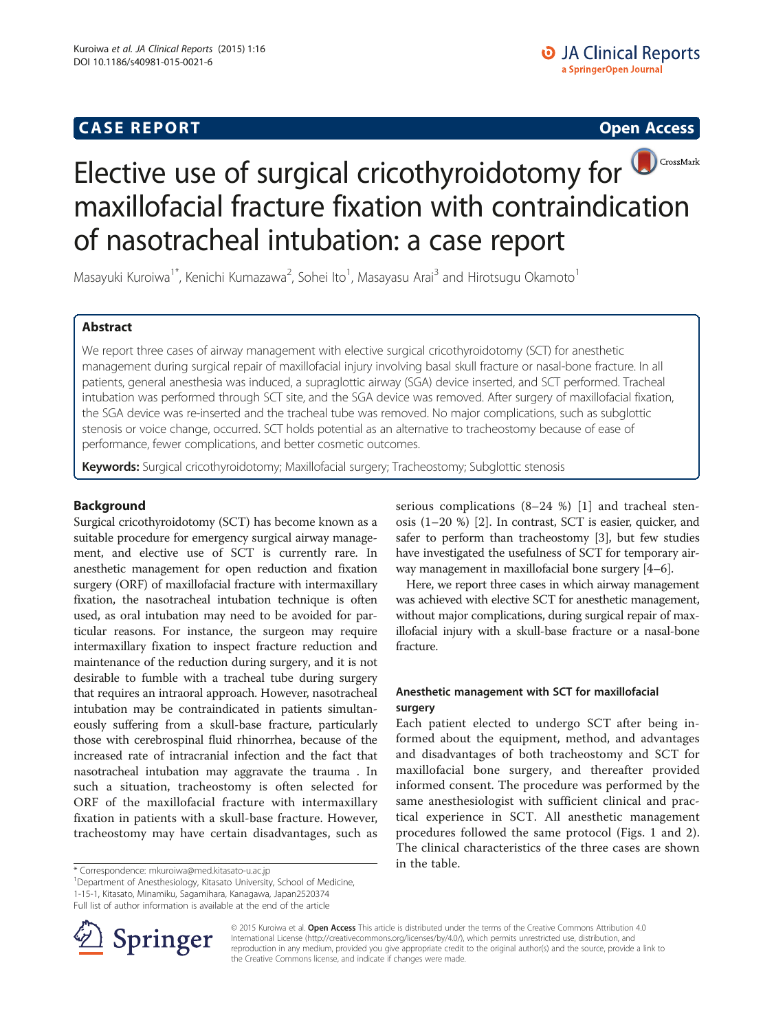# **CASE REPORT CASE REPORT**



Masayuki Kuroiwa<sup>1\*</sup>, Kenichi Kumazawa<sup>2</sup>, Sohei Ito<sup>1</sup>, Masayasu Arai<sup>3</sup> and Hirotsugu Okamoto<sup>1</sup>

# Abstract

We report three cases of airway management with elective surgical cricothyroidotomy (SCT) for anesthetic management during surgical repair of maxillofacial injury involving basal skull fracture or nasal-bone fracture. In all patients, general anesthesia was induced, a supraglottic airway (SGA) device inserted, and SCT performed. Tracheal intubation was performed through SCT site, and the SGA device was removed. After surgery of maxillofacial fixation, the SGA device was re-inserted and the tracheal tube was removed. No major complications, such as subglottic stenosis or voice change, occurred. SCT holds potential as an alternative to tracheostomy because of ease of performance, fewer complications, and better cosmetic outcomes.

Keywords: Surgical cricothyroidotomy; Maxillofacial surgery; Tracheostomy; Subglottic stenosis

# Background

Surgical cricothyroidotomy (SCT) has become known as a suitable procedure for emergency surgical airway management, and elective use of SCT is currently rare. In anesthetic management for open reduction and fixation surgery (ORF) of maxillofacial fracture with intermaxillary fixation, the nasotracheal intubation technique is often used, as oral intubation may need to be avoided for particular reasons. For instance, the surgeon may require intermaxillary fixation to inspect fracture reduction and maintenance of the reduction during surgery, and it is not desirable to fumble with a tracheal tube during surgery that requires an intraoral approach. However, nasotracheal intubation may be contraindicated in patients simultaneously suffering from a skull-base fracture, particularly those with cerebrospinal fluid rhinorrhea, because of the increased rate of intracranial infection and the fact that nasotracheal intubation may aggravate the trauma . In such a situation, tracheostomy is often selected for ORF of the maxillofacial fracture with intermaxillary fixation in patients with a skull-base fracture. However, tracheostomy may have certain disadvantages, such as

in the table. \* Correspondence: [mkuroiwa@med.kitasato-u.ac.jp](mailto:mkuroiwa@med.kitasato-u.ac.jp) <sup>1</sup>

<sup>1</sup>Department of Anesthesiology, Kitasato University, School of Medicine, 1-15-1, Kitasato, Minamiku, Sagamihara, Kanagawa, Japan2520374

Full list of author information is available at the end of the article

serious complications (8–24 %) [[1\]](#page-4-0) and tracheal stenosis (1–20 %) [\[2](#page-4-0)]. In contrast, SCT is easier, quicker, and safer to perform than tracheostomy [[3\]](#page-4-0), but few studies have investigated the usefulness of SCT for temporary airway management in maxillofacial bone surgery [[4](#page-4-0)–[6](#page-4-0)].

Here, we report three cases in which airway management was achieved with elective SCT for anesthetic management, without major complications, during surgical repair of maxillofacial injury with a skull-base fracture or a nasal-bone fracture.

# Anesthetic management with SCT for maxillofacial surgery

Each patient elected to undergo SCT after being informed about the equipment, method, and advantages and disadvantages of both tracheostomy and SCT for maxillofacial bone surgery, and thereafter provided informed consent. The procedure was performed by the same anesthesiologist with sufficient clinical and practical experience in SCT. All anesthetic management procedures followed the same protocol (Figs. [1](#page-1-0) and [2](#page-1-0)). The clinical characteristics of the three cases are shown



© 2015 Kuroiwa et al. Open Access This article is distributed under the terms of the Creative Commons Attribution 4.0 International License ([http://creativecommons.org/licenses/by/4.0/\)](http://creativecommons.org/licenses/by/4.0/), which permits unrestricted use, distribution, and reproduction in any medium, provided you give appropriate credit to the original author(s) and the source, provide a link to the Creative Commons license, and indicate if changes were made.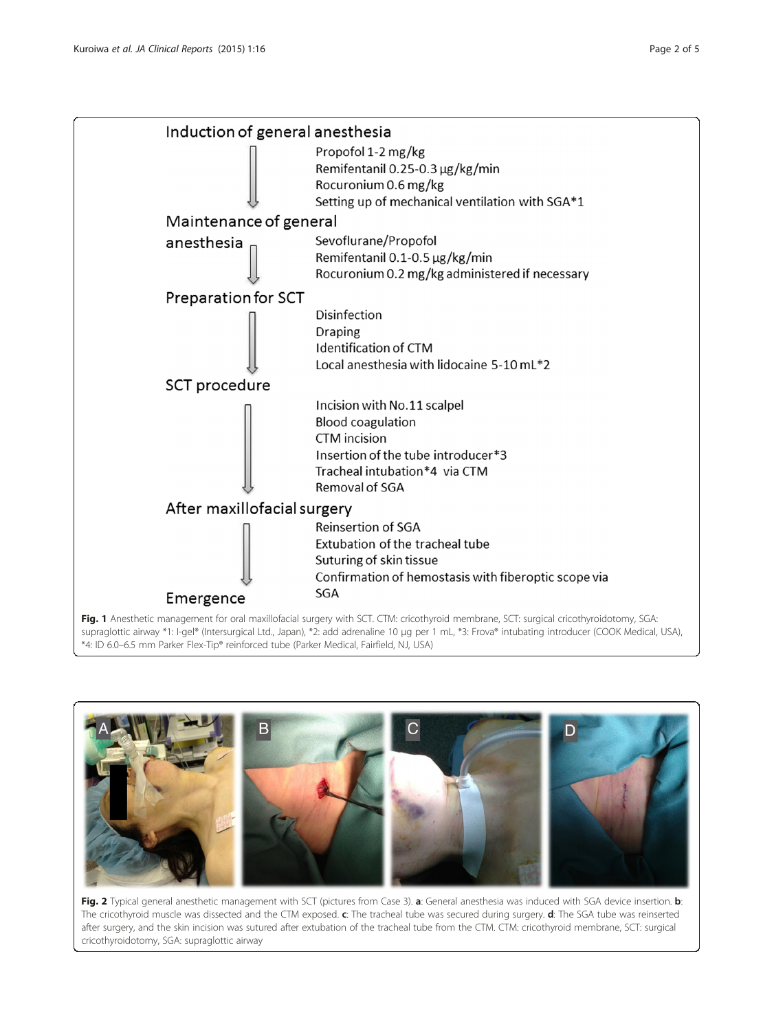<span id="page-1-0"></span>

\*4: ID 6.0–6.5 mm Parker Flex-Tip® reinforced tube (Parker Medical, Fairfield, NJ, USA)



Fig. 2 Typical general anesthetic management with SCT (pictures from Case 3). a: General anesthesia was induced with SGA device insertion. b: The cricothyroid muscle was dissected and the CTM exposed. c: The tracheal tube was secured during surgery. d: The SGA tube was reinserted after surgery, and the skin incision was sutured after extubation of the tracheal tube from the CTM. CTM: cricothyroid membrane, SCT: surgical cricothyroidotomy, SGA: supraglottic airway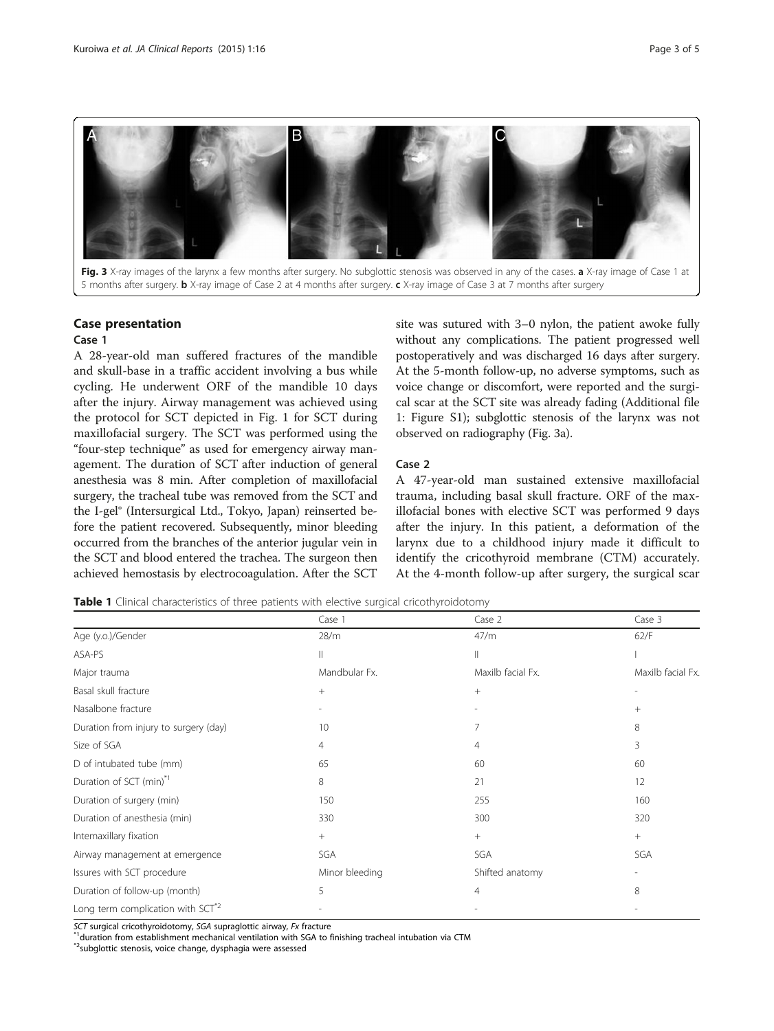<span id="page-2-0"></span>

### Case presentation

### Case 1

A 28-year-old man suffered fractures of the mandible and skull-base in a traffic accident involving a bus while cycling. He underwent ORF of the mandible 10 days after the injury. Airway management was achieved using the protocol for SCT depicted in Fig. [1](#page-1-0) for SCT during maxillofacial surgery. The SCT was performed using the "four-step technique" as used for emergency airway management. The duration of SCT after induction of general anesthesia was 8 min. After completion of maxillofacial surgery, the tracheal tube was removed from the SCT and the I-gel® (Intersurgical Ltd., Tokyo, Japan) reinserted before the patient recovered. Subsequently, minor bleeding occurred from the branches of the anterior jugular vein in the SCT and blood entered the trachea. The surgeon then achieved hemostasis by electrocoagulation. After the SCT

site was sutured with 3–0 nylon, the patient awoke fully without any complications. The patient progressed well postoperatively and was discharged 16 days after surgery. At the 5-month follow-up, no adverse symptoms, such as voice change or discomfort, were reported and the surgical scar at the SCT site was already fading (Additional file [1:](#page-3-0) Figure S1); subglottic stenosis of the larynx was not observed on radiography (Fig. 3a).

### Case 2

A 47-year-old man sustained extensive maxillofacial trauma, including basal skull fracture. ORF of the maxillofacial bones with elective SCT was performed 9 days after the injury. In this patient, a deformation of the larynx due to a childhood injury made it difficult to identify the cricothyroid membrane (CTM) accurately. At the 4-month follow-up after surgery, the surgical scar

Table 1 Clinical characteristics of three patients with elective surgical cricothyroidotomy

|                                               | Case 1         | Case 2            | Case 3            |
|-----------------------------------------------|----------------|-------------------|-------------------|
| Age (y.o.)/Gender                             | 28/m           | 47/m              | 62/F              |
| ASA-PS                                        | Ш              | II                |                   |
| Major trauma                                  | Mandbular Fx.  | Maxilb facial Fx. | Maxilb facial Fx. |
| Basal skull fracture                          | $+$            | $^{+}$            |                   |
| Nasalbone fracture                            |                |                   | $+$               |
| Duration from injury to surgery (day)         | 10             | 7                 | 8                 |
| Size of SGA                                   | 4              | 4                 | 3                 |
| D of intubated tube (mm)                      | 65             | 60                | 60                |
| Duration of SCT (min) <sup>*1</sup>           | 8              | 21                | 12                |
| Duration of surgery (min)                     | 150            | 255               | 160               |
| Duration of anesthesia (min)                  | 330            | 300               | 320               |
| Intemaxillary fixation                        | $+$            | $^{+}$            | $+$               |
| Airway management at emergence                | SGA            | SGA               | SGA               |
| Issures with SCT procedure                    | Minor bleeding | Shifted anatomy   |                   |
| Duration of follow-up (month)                 | 5              | 4                 | 8                 |
| Long term complication with SCT <sup>*2</sup> |                |                   |                   |

SCT surgical cricothyroidotomy, SGA supraglottic airway, Fx fracture<br>\*<sup>1</sup>duration from establishment mechanical ventilation with SGA to finishing tracheal intubation via CTM

\*2subglottic stenosis, voice change, dysphagia were assessed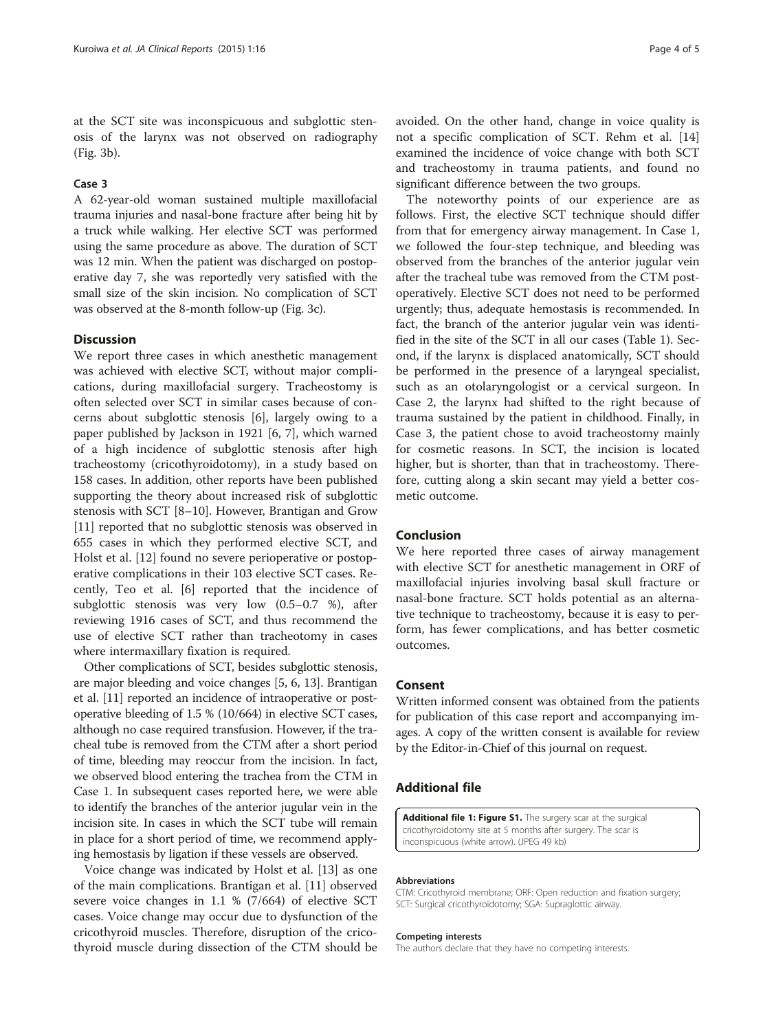<span id="page-3-0"></span>at the SCT site was inconspicuous and subglottic stenosis of the larynx was not observed on radiography (Fig. [3](#page-2-0)b).

### Case 3

A 62-year-old woman sustained multiple maxillofacial trauma injuries and nasal-bone fracture after being hit by a truck while walking. Her elective SCT was performed using the same procedure as above. The duration of SCT was 12 min. When the patient was discharged on postoperative day 7, she was reportedly very satisfied with the small size of the skin incision. No complication of SCT was observed at the 8-month follow-up (Fig. [3](#page-2-0)c).

### **Discussion**

We report three cases in which anesthetic management was achieved with elective SCT, without major complications, during maxillofacial surgery. Tracheostomy is often selected over SCT in similar cases because of concerns about subglottic stenosis [\[6](#page-4-0)], largely owing to a paper published by Jackson in 1921 [\[6](#page-4-0), [7\]](#page-4-0), which warned of a high incidence of subglottic stenosis after high tracheostomy (cricothyroidotomy), in a study based on 158 cases. In addition, other reports have been published supporting the theory about increased risk of subglottic stenosis with SCT [\[8](#page-4-0)–[10\]](#page-4-0). However, Brantigan and Grow [[11\]](#page-4-0) reported that no subglottic stenosis was observed in 655 cases in which they performed elective SCT, and Holst et al. [\[12](#page-4-0)] found no severe perioperative or postoperative complications in their 103 elective SCT cases. Recently, Teo et al. [\[6](#page-4-0)] reported that the incidence of subglottic stenosis was very low (0.5–0.7 %), after reviewing 1916 cases of SCT, and thus recommend the use of elective SCT rather than tracheotomy in cases where intermaxillary fixation is required.

Other complications of SCT, besides subglottic stenosis, are major bleeding and voice changes [\[5](#page-4-0), [6, 13\]](#page-4-0). Brantigan et al. [\[11\]](#page-4-0) reported an incidence of intraoperative or postoperative bleeding of 1.5 % (10/664) in elective SCT cases, although no case required transfusion. However, if the tracheal tube is removed from the CTM after a short period of time, bleeding may reoccur from the incision. In fact, we observed blood entering the trachea from the CTM in Case 1. In subsequent cases reported here, we were able to identify the branches of the anterior jugular vein in the incision site. In cases in which the SCT tube will remain in place for a short period of time, we recommend applying hemostasis by ligation if these vessels are observed.

Voice change was indicated by Holst et al. [[13](#page-4-0)] as one of the main complications. Brantigan et al. [[11\]](#page-4-0) observed severe voice changes in 1.1 % (7/664) of elective SCT cases. Voice change may occur due to dysfunction of the cricothyroid muscles. Therefore, disruption of the cricothyroid muscle during dissection of the CTM should be

avoided. On the other hand, change in voice quality is not a specific complication of SCT. Rehm et al. [[14](#page-4-0)] examined the incidence of voice change with both SCT and tracheostomy in trauma patients, and found no significant difference between the two groups.

The noteworthy points of our experience are as follows. First, the elective SCT technique should differ from that for emergency airway management. In Case 1, we followed the four-step technique, and bleeding was observed from the branches of the anterior jugular vein after the tracheal tube was removed from the CTM postoperatively. Elective SCT does not need to be performed urgently; thus, adequate hemostasis is recommended. In fact, the branch of the anterior jugular vein was identified in the site of the SCT in all our cases (Table [1\)](#page-2-0). Second, if the larynx is displaced anatomically, SCT should be performed in the presence of a laryngeal specialist, such as an otolaryngologist or a cervical surgeon. In Case 2, the larynx had shifted to the right because of trauma sustained by the patient in childhood. Finally, in Case 3, the patient chose to avoid tracheostomy mainly for cosmetic reasons. In SCT, the incision is located higher, but is shorter, than that in tracheostomy. Therefore, cutting along a skin secant may yield a better cosmetic outcome.

### Conclusion

We here reported three cases of airway management with elective SCT for anesthetic management in ORF of maxillofacial injuries involving basal skull fracture or nasal-bone fracture. SCT holds potential as an alternative technique to tracheostomy, because it is easy to perform, has fewer complications, and has better cosmetic outcomes.

### Consent

Written informed consent was obtained from the patients for publication of this case report and accompanying images. A copy of the written consent is available for review by the Editor-in-Chief of this journal on request.

# Additional file

[Additional file 1: Figure S1.](dx.doi.org/10.1186/s40981-015-0021-6) The surgery scar at the surgical cricothyroidotomy site at 5 months after surgery. The scar is inconspicuous (white arrow). (JPEG 49 kb)

#### Abbreviations

CTM: Cricothyroid membrane; ORF: Open reduction and fixation surgery; SCT: Surgical cricothyroidotomy; SGA: Supraglottic airway.

#### Competing interests

The authors declare that they have no competing interests.